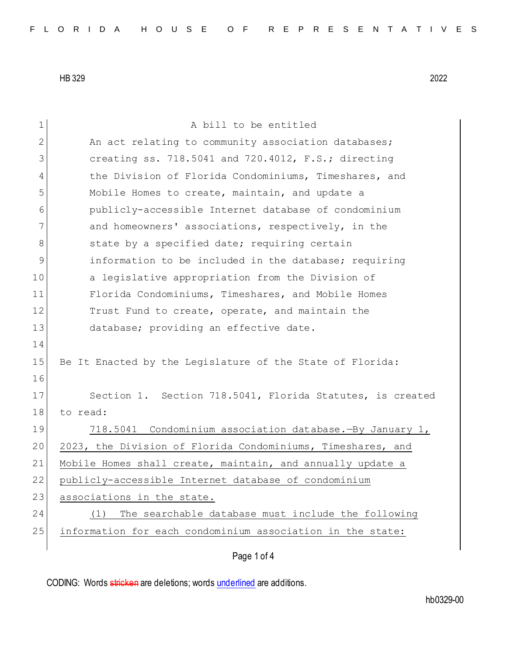Page 1 of 4 1 A bill to be entitled 2 An act relating to community association databases; 3 creating ss. 718.5041 and 720.4012, F.S.; directing 4 the Division of Florida Condominiums, Timeshares, and 5 Mobile Homes to create, maintain, and update a 6 publicly-accessible Internet database of condominium 7 and homeowners' associations, respectively, in the 8 state by a specified date; requiring certain 9 information to be included in the database; requiring 10 a legislative appropriation from the Division of 11 Florida Condominiums, Timeshares, and Mobile Homes 12 Trust Fund to create, operate, and maintain the 13 database; providing an effective date. 14 15 Be It Enacted by the Legislature of the State of Florida: 16 17 Section 1. Section 718.5041, Florida Statutes, is created 18 to read: 19 718.5041 Condominium association database.—By January 1, 20 2023, the Division of Florida Condominiums, Timeshares, and 21 Mobile Homes shall create, maintain, and annually update a 22 publicly-accessible Internet database of condominium 23 associations in the state. 24 (1) The searchable database must include the following 25 information for each condominium association in the state: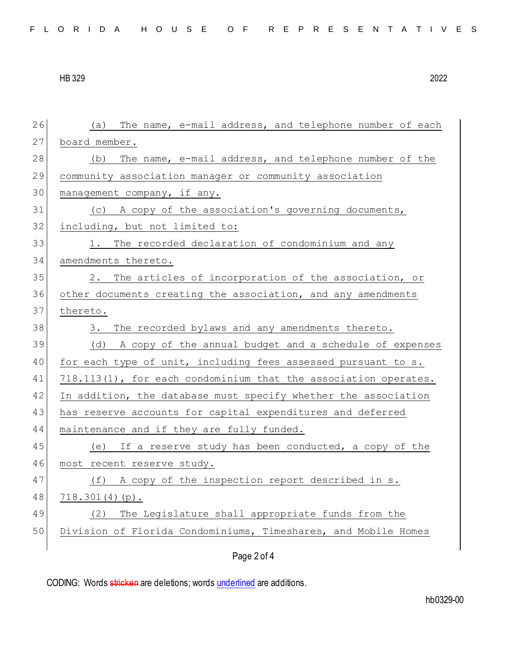| 26 | The name, e-mail address, and telephone number of each<br>(a)   |
|----|-----------------------------------------------------------------|
| 27 | board member.                                                   |
| 28 | The name, e-mail address, and telephone number of the<br>(b)    |
| 29 | community association manager or community association          |
| 30 | management company, if any.                                     |
| 31 | (c) A copy of the association's governing documents,            |
| 32 | including, but not limited to:                                  |
| 33 | 1. The recorded declaration of condominium and any              |
| 34 | amendments thereto.                                             |
| 35 | The articles of incorporation of the association, or<br>2.      |
| 36 | other documents creating the association, and any amendments    |
| 37 | thereto.                                                        |
| 38 | The recorded bylaws and any amendments thereto.<br>3.           |
|    |                                                                 |
| 39 | (d) A copy of the annual budget and a schedule of expenses      |
| 40 | for each type of unit, including fees assessed pursuant to s.   |
| 41 | 718.113(1), for each condominium that the association operates. |
| 42 | In addition, the database must specify whether the association  |
| 43 | has reserve accounts for capital expenditures and deferred      |
| 44 | maintenance and if they are fully funded.                       |
| 45 | (e) If a reserve study has been conducted, a copy of the        |
| 46 | most recent reserve study.                                      |
| 47 | (f) A copy of the inspection report described in s.             |
| 48 | $718.301(4)(p)$ .                                               |
| 49 | The Legislature shall appropriate funds from the<br>(2)         |
| 50 | Division of Florida Condominiums, Timeshares, and Mobile Homes  |

Page 2 of 4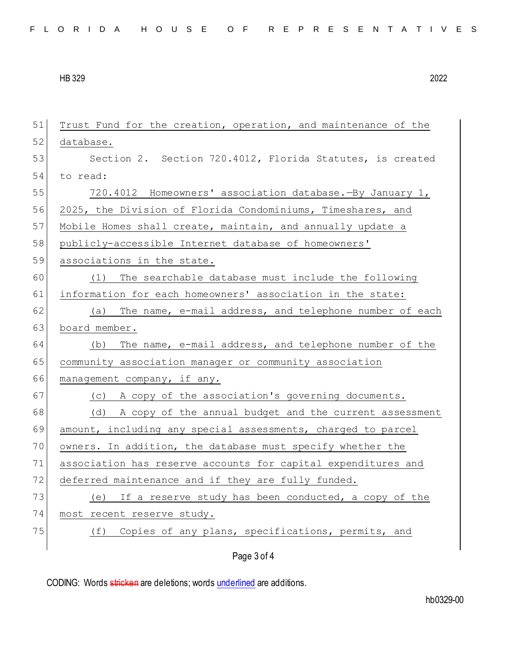| 51 | Trust Fund for the creation, operation, and maintenance of the |
|----|----------------------------------------------------------------|
| 52 | database.                                                      |
| 53 | Section 2. Section 720.4012, Florida Statutes, is created      |
| 54 | to read:                                                       |
| 55 | 720.4012 Homeowners' association database. -By January 1,      |
| 56 | 2025, the Division of Florida Condominiums, Timeshares, and    |
| 57 | Mobile Homes shall create, maintain, and annually update a     |
| 58 | publicly-accessible Internet database of homeowners'           |
| 59 | associations in the state.                                     |
| 60 | (1) The searchable database must include the following         |
| 61 | information for each homeowners' association in the state:     |
| 62 | (a) The name, e-mail address, and telephone number of each     |
| 63 | board member.                                                  |
| 64 | (b) The name, e-mail address, and telephone number of the      |
| 65 | community association manager or community association         |
| 66 | management company, if any.                                    |
| 67 | (c) A copy of the association's governing documents.           |
| 68 | (d) A copy of the annual budget and the current assessment     |
| 69 | amount, including any special assessments, charged to parcel   |
| 70 | owners. In addition, the database must specify whether the     |
| 71 | association has reserve accounts for capital expenditures and  |
| 72 | deferred maintenance and if they are fully funded.             |
| 73 | If a reserve study has been conducted, a copy of the<br>(e)    |
| 74 | most recent reserve study.                                     |
| 75 | Copies of any plans, specifications, permits, and<br>(f)       |
|    | Page 3 of 4                                                    |